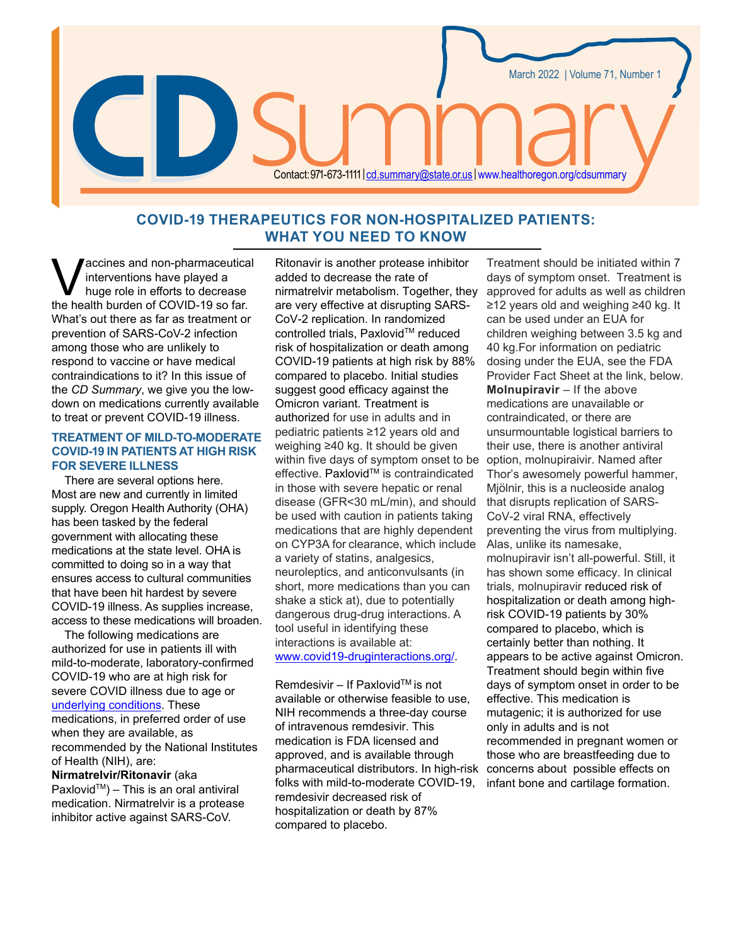# **COVID-19 THERAPEUTICS FOR NON-HOSPITALIZED PATIENTS: WHAT YOU NEED TO KNOW**

Contact: 971-673-1111 | [cd.summary@state.or.us](mailto:cd.summary%40state.or.us?subject=) | www[.healthoregon.org/cdsummary](www.healthoregon.org/cdsummary)

accines and non-pharmaceutical interventions have played a huge role in efforts to decrease the health burden of COVID-19 so far. What's out there as far as treatment or prevention of SARS-CoV-2 infection among those who are unlikely to respond to vaccine or have medical contraindications to it? In this issue of the *CD Summary*, we give you the lowdown on medications currently available to treat or prevent COVID-19 illness.

### **TREATMENT OF MILD-TO-MODERATE COVID-19IN PATIENTS AT HIGH RISK FOR SEVERE ILLNESS**

There are several options here. Most are new and currently in limited supply. Oregon Health Authority (OHA) has been tasked by the federal government with allocating these medications at the state level. OHA is committed to doing so in a way that ensures access to cultural communities that have been hit hardest by severe COVID-19 illness. As supplies increase, access to these medications will broaden.

The following medications are authorized for use in patients ill with mild-to-moderate, laboratory-confirmed COVID-19 who are at high risk for severe COVID illness due to age or [underlying conditions](http://www.cdc.gov/coronavirus/2019-ncov/hcp/clinical-care/underlyingconditions.html). These medications, in preferred order of use when they are available, as recommended by the National Institutes of Health (NIH), are:

**Nirmatrelvir/Ritonavir** (aka  $Paxlovid^{TM}$ ) – This is an oral antiviral medication. Nirmatrelvir is a protease inhibitor active against SARS-CoV.

Ritonavir is another protease inhibitor added to decrease the rate of nirmatrelvir metabolism. Together, they are very effective at disrupting SARS-CoV-2 replication. In randomized controlled trials, Paxlovid™ reduced risk of hospitalization or death among COVID-19 patients at high risk by 88% compared to placebo. Initial studies suggest good efficacy against the Omicron variant. Treatment is authorized for use in adults and in pediatric patients ≥12 years old and weighing ≥40 kg. It should be given within five days of symptom onset to be effective. Paxlovid™ is contraindicated in those with severe hepatic or renal disease (GFR<30 mL/min), and should be used with caution in patients taking medications that are highly dependent on CYP3A for clearance, which include a variety of statins, analgesics, neuroleptics, and anticonvulsants (in short, more medications than you can shake a stick at), due to potentially dangerous drug-drug interactions. A tool useful in identifying these interactions is available at: [www.covid19-druginteractions.org/](http://www.covid19-druginteractions.org/).

Remdesivir – If Paxlovid™ is not available or otherwise feasible to use, NIH recommends a three-day course of intravenous remdesivir. This medication is FDA licensed and approved, and is available through pharmaceutical distributors. In high-risk folks with mild-to-moderate COVID-19, remdesivir decreased risk of hospitalization or death by 87% compared to placebo.

Treatment should be initiated within 7 days of symptom onset. Treatment is approved for adults as well as children ≥12 years old and weighing ≥40 kg. It can be used under an EUA for children weighing between 3.5 kg and 40 kg.For information on pediatric dosing under the EUA, see the FDA Provider Fact Sheet at the link, below. **Molnupiravir** – If the above medications are unavailable or contraindicated, or there are unsurmountable logistical barriers to their use, there is another antiviral option, molnupiraivir. Named after Thor's awesomely powerful hammer, Mjölnir, this is a nucleoside analog that disrupts replication of SARS-CoV-2 viral RNA, effectively preventing the virus from multiplying. Alas, unlike its namesake, molnupiravir isn't all-powerful. Still, it has shown some efficacy. In clinical trials, molnupiravir reduced risk of hospitalization or death among highrisk COVID-19 patients by 30% compared to placebo, which is certainly better than nothing. It appears to be active against Omicron. Treatment should begin within five days of symptom onset in order to be effective. This medication is mutagenic; it is authorized for use only in adults and is not recommended in pregnant women or those who are breastfeeding due to concerns about possible effects on infant bone and cartilage formation.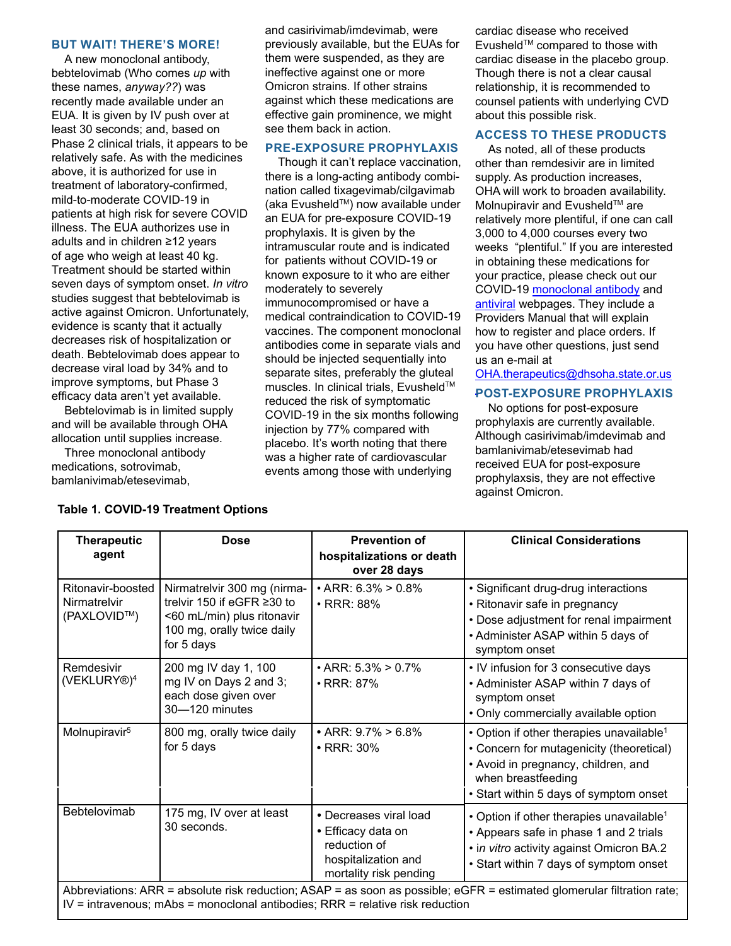#### **BUT WAIT! THERE'S MORE!**

A new monoclonal antibody, bebtelovimab (Who comes *up* with these names, *anyway??*) was recently made available under an EUA. It is given by IV push over at least 30 seconds; and, based on Phase 2 clinical trials, it appears to be relatively safe. As with the medicines above, it is authorized for use in treatment of laboratory-confirmed, mild-to-moderate COVID-19 in patients at high risk for severe COVID illness. The EUA authorizes use in adults and in children ≥12 years of age who weigh at least 40 kg. Treatment should be started within seven days of symptom onset. *In vitro* studies suggest that bebtelovimab is active against Omicron. Unfortunately, evidence is scanty that it actually decreases risk of hospitalization or death. Bebtelovimab does appear to decrease viral load by 34% and to improve symptoms, but Phase 3 efficacy data aren't yet available.

Bebtelovimab is in limited supply and will be available through OHA allocation until supplies increase.

Three monoclonal antibody medications, sotrovimab, bamlanivimab/etesevimab,

and casirivimab/imdevimab, were previously available, but the EUAs for them were suspended, as they are ineffective against one or more Omicron strains. If other strains against which these medications are effective gain prominence, we might see them back in action.

## **PRE-EXPOSURE PROPHYLAXIS**

Though it can't replace vaccination, there is a long-acting antibody combination called tixagevimab/cilgavimab (aka Evusheld™) now available under an EUA for pre-exposure COVID-19 prophylaxis. It is given by the intramuscular route and is indicated for patients without COVID-19 or known exposure to it who are either moderately to severely immunocompromised or have a medical contraindication to COVID-19 vaccines. The component monoclonal antibodies come in separate vials and should be injected sequentially into separate sites, preferably the gluteal muscles. In clinical trials, Evusheld™ reduced the risk of symptomatic COVID-19 in the six months following injection by 77% compared with placebo. It's worth noting that there was a higher rate of cardiovascular events among those with underlying

cardiac disease who received EvusheldTM compared to those with cardiac disease in the placebo group. Though there is not a clear causal relationship, it is recommended to counsel patients with underlying CVD about this possible risk.

### **ACCESS TO THESE PRODUCTS**

As noted, all of these products other than remdesivir are in limited supply. As production increases, OHA will work to broaden availability. Molnupiravir and Evusheld™ are relatively more plentiful, if one can call 3,000 to 4,000 courses every two weeks "plentiful." If you are interested in obtaining these medications for your practice, please check out our COVID-19 [monoclonal antibody](https://www.oregon.gov/oha/covid19/Pages/monoclonal-antibody-therapy.aspx) and [antiviral](https://www.oregon.gov/oha/covid19/Pages/antivirals.aspx) webpages. They include a Providers Manual that will explain how to register and place orders. If you have other questions, just send us an e-mail at

# [OHA.therapeutics@dhsoha.state.or.us](mailto:OHA.therapeutics@dhsoha.state.or.us)

# .**POST-EXPOSURE PROPHYLAXIS**

No options for post-exposure prophylaxis are currently available. Although casirivimab/imdevimab and bamlanivimab/etesevimab had received EUA for post-exposure prophylaxsis, they are not effective against Omicron.

| <b>Therapeutic</b><br>agent                                                                                                                                                                               | <b>Dose</b>                                                                                                                         | <b>Prevention of</b><br>hospitalizations or death                                                             | <b>Clinical Considerations</b>                                                                                                                                                                          |  |
|-----------------------------------------------------------------------------------------------------------------------------------------------------------------------------------------------------------|-------------------------------------------------------------------------------------------------------------------------------------|---------------------------------------------------------------------------------------------------------------|---------------------------------------------------------------------------------------------------------------------------------------------------------------------------------------------------------|--|
|                                                                                                                                                                                                           |                                                                                                                                     | over 28 days                                                                                                  |                                                                                                                                                                                                         |  |
| Ritonavir-boosted<br>Nirmatrelvir<br>(PAXLOVID™)                                                                                                                                                          | Nirmatrelvir 300 mg (nirma-<br>trelvir 150 if eGFR ≥30 to<br><60 mL/min) plus ritonavir<br>100 mg, orally twice daily<br>for 5 days | $\cdot$ ARR: 6.3% > 0.8%<br>$\cdot$ RRR: 88%                                                                  | • Significant drug-drug interactions<br>• Ritonavir safe in pregnancy<br>• Dose adjustment for renal impairment<br>• Administer ASAP within 5 days of<br>symptom onset                                  |  |
| Remdesivir<br>(VEKLURY®) <sup>4</sup>                                                                                                                                                                     | 200 mg IV day 1, 100<br>mg IV on Days 2 and 3;<br>each dose given over<br>$30 - 120$ minutes                                        | $\cdot$ ARR: 5.3% > 0.7%<br>$\cdot$ RRR: 87%                                                                  | • IV infusion for 3 consecutive days<br>• Administer ASAP within 7 days of<br>symptom onset<br>• Only commercially available option                                                                     |  |
| Molnupiravir <sup>5</sup>                                                                                                                                                                                 | 800 mg, orally twice daily<br>for 5 days                                                                                            | • ARR: $9.7\% > 6.8\%$<br>$\cdot$ RRR: 30%                                                                    | • Option if other therapies unavailable <sup>1</sup><br>• Concern for mutagenicity (theoretical)<br>• Avoid in pregnancy, children, and<br>when breastfeeding<br>• Start within 5 days of symptom onset |  |
| Bebtelovimab                                                                                                                                                                                              | 175 mg, IV over at least<br>30 seconds.                                                                                             | • Decreases viral load<br>• Efficacy data on<br>reduction of<br>hospitalization and<br>mortality risk pending | • Option if other therapies unavailable <sup>1</sup><br>• Appears safe in phase 1 and 2 trials<br>• in vitro activity against Omicron BA.2<br>• Start within 7 days of symptom onset                    |  |
| Abbreviations: ARR = absolute risk reduction; ASAP = as soon as possible; eGFR = estimated glomerular filtration rate;<br>$IV =$ intravenous; mAbs = monoclonal antibodies; RRR = relative risk reduction |                                                                                                                                     |                                                                                                               |                                                                                                                                                                                                         |  |

### **Table 1. COVID-19 Treatment Options**